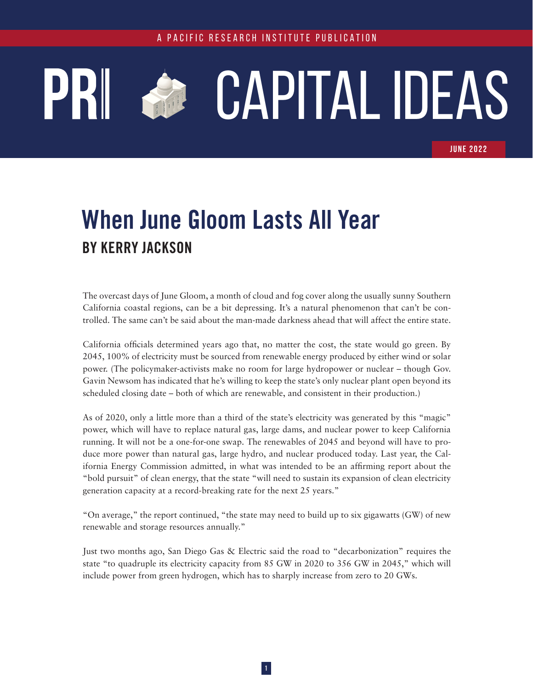## CAPITAL IDEAS **CONTRACTOR**

JUNE 2022

## **When June Gloom Lasts All Year BY KERRY JACKSON**

The overcast days of June Gloom, a month of cloud and fog cover along the usually sunny Southern California coastal regions, can be a bit depressing. It's a natural phenomenon that can't be controlled. The same can't be said about the man-made darkness ahead that will affect the entire state.

California officials determined years ago that, no matter the cost, the state would go green. By 2045, 100% of electricity must be sourced from renewable energy produced by either wind or solar power. (The policymaker-activists make no room for large hydropower or nuclear – though Gov. Gavin Newsom has indicated that he's willing to keep the state's only nuclear plant [open beyond its](https://www.utilitydive.com/news/analysts-differ-on-feasibility-need-to-extend-diablo-canyon-california-nuclear-plant/623214/) [scheduled closing date](https://www.utilitydive.com/news/analysts-differ-on-feasibility-need-to-extend-diablo-canyon-california-nuclear-plant/623214/) – both of which are renewable, and consistent in their production.)

As of 2020, only a little [more than a third](https://nam10.safelinks.protection.outlook.com/?url=https%3A%2F%2Fwww.energy.ca.gov%2Fnews%2F2022-02%2Fnew-data-indicates-california-remains-ahead-clean-electricity-goals&data=05%7C01%7Ctanaya%40pacificresearch.org%7C9045e1cd545e402698cd08da4192bccd%7C56c2f5bedd274fdaa829995353b3b27a%7C0%7C0%7C637894395741799769%7CUnknown%7CTWFpbGZsb3d8eyJWIjoiMC4wLjAwMDAiLCJQIjoiV2luMzIiLCJBTiI6Ik1haWwiLCJXVCI6Mn0%3D%7C3000%7C%7C%7C&sdata=D67Fk3yVEs833gJALmTwQTHN195unhk3ahff8oR5VOU%3D&reserved=0) of the state's electricity was generated by this "magic" power, which will have to replace natural gas, large dams, and nuclear power to keep California running. It will not be a one-for-one swap. The renewables of 2045 and beyond will have to produce more power than natural gas, large hydro, and nuclear produced today. Last year, the California Energy Commission admitted, in what was intended to be an affirming report about the "bold pursuit" of clean energy, that the state "will need to sustain its expansion of clean electricity generation capacity at a [record-breaking rate](https://nam10.safelinks.protection.outlook.com/?url=https%3A%2F%2Fwww.energy.ca.gov%2Fnews%2F2021-03%2Fcalifornia-releases-report-charting-path-100-percent-clean-electricity&data=05%7C01%7Ctanaya%40pacificresearch.org%7C9045e1cd545e402698cd08da4192bccd%7C56c2f5bedd274fdaa829995353b3b27a%7C0%7C0%7C637894395741799769%7CUnknown%7CTWFpbGZsb3d8eyJWIjoiMC4wLjAwMDAiLCJQIjoiV2luMzIiLCJBTiI6Ik1haWwiLCJXVCI6Mn0%3D%7C3000%7C%7C%7C&sdata=L2pEsrfjGxEjEhPx3li9DcoTf7qFCBZRwAxaOp9JX7E%3D&reserved=0) for the next 25 years."

"On average," the report continued, "the state may need to build up to six gigawatts (GW) of new renewable and storage resources annually."

Just two months ago, San Diego Gas & Electric said the road to "decarbonization" requires the state "to [quadruple its electricity capacity](https://nam10.safelinks.protection.outlook.com/?url=https%3A%2F%2Fwww.energy-storage.news%2Fsdge-releases-decarbonisation-roadmap-with-quadrupling-of-electricity-capacity-by-2045%2F&data=05%7C01%7Ctanaya%40pacificresearch.org%7C9045e1cd545e402698cd08da4192bccd%7C56c2f5bedd274fdaa829995353b3b27a%7C0%7C0%7C637894395741799769%7CUnknown%7CTWFpbGZsb3d8eyJWIjoiMC4wLjAwMDAiLCJQIjoiV2luMzIiLCJBTiI6Ik1haWwiLCJXVCI6Mn0%3D%7C3000%7C%7C%7C&sdata=4j6sNJxk6PJ81ZDwClgDSdsGle6DmBWoW61%2BzGtFR8M%3D&reserved=0) from 85 GW in 2020 to 356 GW in 2045," which will include power from green hydrogen, which has to sharply increase from zero to 20 GWs.